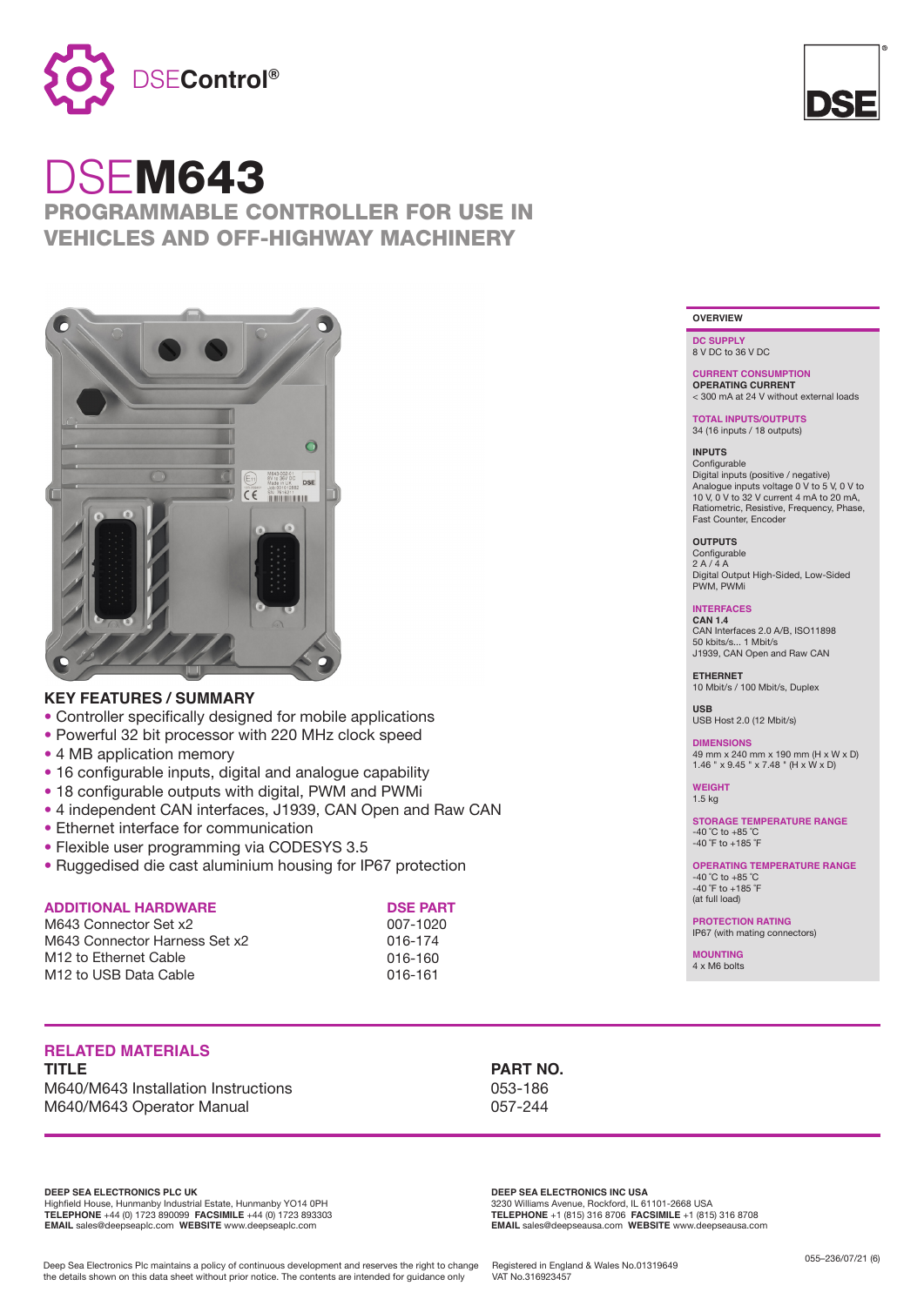

# DSEM643

### PROGRAMMABLE CONTROLLER FOR USE IN VEHICLES AND OFF-HIGHWAY MACHINERY



### **KEY FEATURES / SUMMARY**

- Controller specifically designed for mobile applications
- Powerful 32 bit processor with 220 MHz clock speed
- 4 MB application memory
- 16 configurable inputs, digital and analogue capability
- 18 configurable outputs with digital, PWM and PWMi
- 4 independent CAN interfaces, J1939, CAN Open and Raw CAN
- Ethernet interface for communication
- Flexible user programming via CODESYS 3.5
- Ruggedised die cast aluminium housing for IP67 protection

### **ADDITIONAL HARDWARE**

M643 Connector Set x2 M643 Connector Harness Set x2 M12 to Ethernet Cable M12 to USB Data Cable

### **DSE PART**

007-1020 016-174 016-160 016-161

## **RELATED MATERIALS**

**TITLE PART NO.** M640/M643 Installation Instructions 053-186 M640/M643 Operator Manual 057-244

**DEEP SEA ELECTRONICS PLC UK**

Highfield House, Hunmanby Industrial Estate, Hunmanby YO14 0PH **TELEPHONE** +44 (0) 1723 890099 **FACSIMILE** +44 (0) 1723 893303 **EMAIL** sales@deepseaplc.com **WEBSITE** www.deepseaplc.com

**DEEP SEA ELECTRONICS INC USA** 3230 Williams Avenue, Rockford, IL 61101-2668 USA **TELEPHONE** +1 (815) 316 8706 **FACSIMILE** +1 (815) 316 8708 **EMAIL** sales@deepseausa.com **WEBSITE** www.deepseausa.com

Deep Sea Electronics Plc maintains a policy of continuous development and reserves the right to change the details shown on this data sheet without prior notice. The contents are intended for guidance only





**DC SUPPLY** 8 V DC to 36 V DC

**CURRENT CONSUMPTION OPERATING CURRENT** < 300 mA at 24 V without external loads

**TOTAL INPUTS/OUTPUTS**  34 (16 inputs / 18 outputs)

### **INPUTS**

Configurable Digital inputs (positive / negative) Analogue inputs voltage 0 V to 5 V, 0 V to 10 V, 0 V to 32 V current 4 mA to 20 mA, Ratiometric, Resistive, Frequency, Phase, Fast Counter, Encoder

**OUTPUTS** Configurable

 $2 A / A$ Digital Output High-Sided, Low-Sided PWM, PWMi

### **INTERFACES CAN 1.4**

CAN Interfaces 2.0 A/B, ISO11898 50 kbits/s... 1 Mbit/s. J1939, CAN Open and Raw CAN

**ETHERNET** 10 Mbit/s / 100 Mbit/s, Duplex

**USB** USB Host 2.0 (12 Mbit/s)

**DIMENSIONS** 49 mm x 240 mm x 190 mm (H x W x D) 1.46 "  $\times$  9.45 "  $\times$  7.48 " (H  $\times$  W  $\times$  D)

**WEIGHT** 1.5 kg

**STORAGE TEMPERATURE RANGE** -40 ˚C to +85 ˚C  $-40$   $\degree$ F to  $+185$  $\degree$ F

**OPERATING TEMPERATURE RANGE**  $-40$  °C to  $+85$  °C -40 ˚F to +185 ˚F (at full load)

**PROTECTION RATING** IP67 (with mating connectors)

**MOUNTING** 4 x M6 bolts

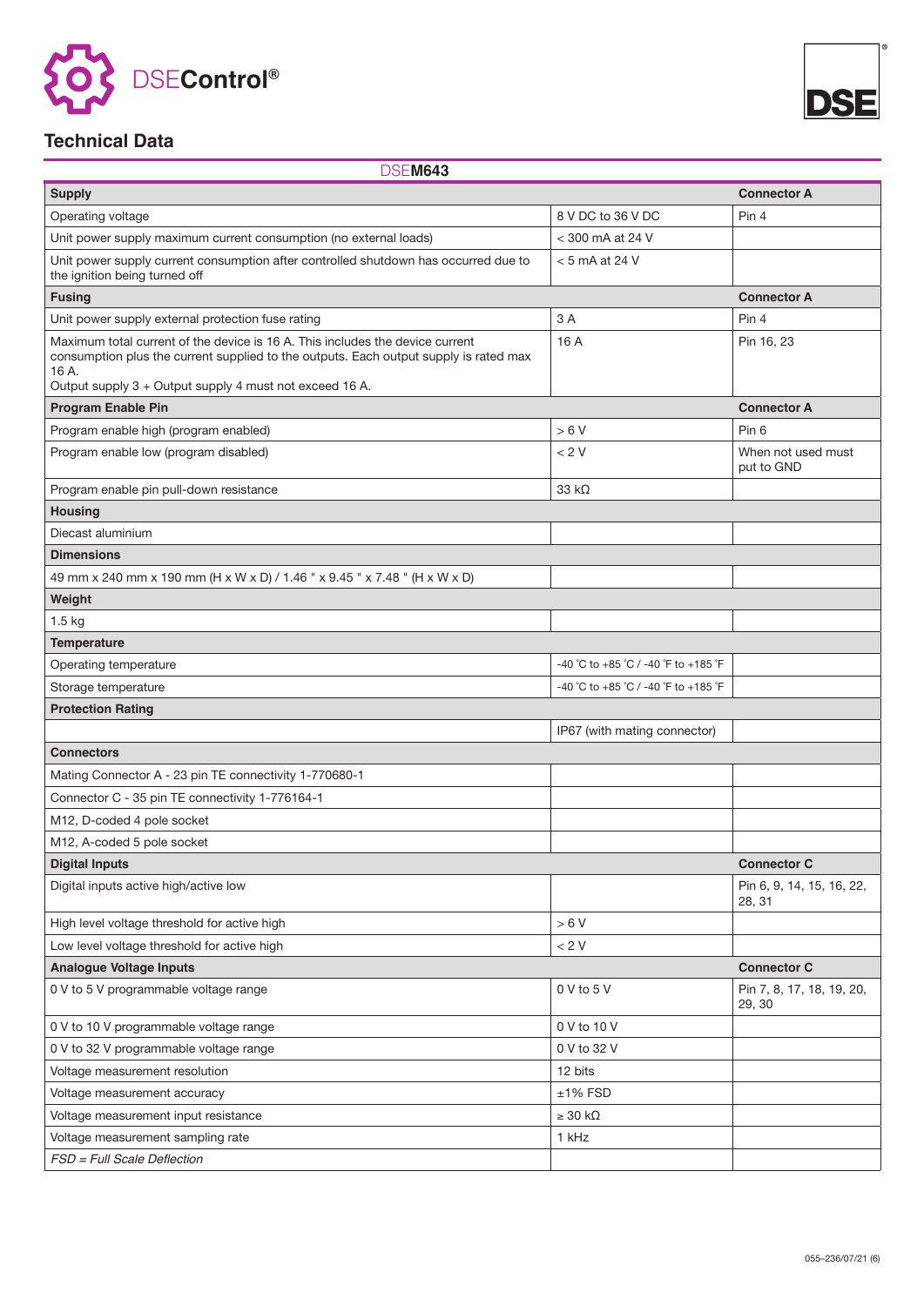



### **Technical Data**

DSE**M643**

| <b>Supply</b>                                                                                                                                                                                                                              |                                      | <b>Connector A</b>                  |  |  |
|--------------------------------------------------------------------------------------------------------------------------------------------------------------------------------------------------------------------------------------------|--------------------------------------|-------------------------------------|--|--|
| Operating voltage                                                                                                                                                                                                                          | 8 V DC to 36 V DC                    | Pin 4                               |  |  |
| Unit power supply maximum current consumption (no external loads)                                                                                                                                                                          | < 300 mA at 24 V                     |                                     |  |  |
| Unit power supply current consumption after controlled shutdown has occurred due to<br>the ignition being turned off                                                                                                                       | $<$ 5 mA at 24 V                     |                                     |  |  |
| <b>Fusing</b>                                                                                                                                                                                                                              |                                      | <b>Connector A</b>                  |  |  |
| Unit power supply external protection fuse rating                                                                                                                                                                                          | 3A                                   | Pin 4                               |  |  |
| Maximum total current of the device is 16 A. This includes the device current<br>consumption plus the current supplied to the outputs. Each output supply is rated max<br>16 A.<br>Output supply 3 + Output supply 4 must not exceed 16 A. | 16 A                                 | Pin 16, 23                          |  |  |
| <b>Program Enable Pin</b>                                                                                                                                                                                                                  |                                      | <b>Connector A</b>                  |  |  |
| Program enable high (program enabled)                                                                                                                                                                                                      | >6V                                  | Pin 6                               |  |  |
| Program enable low (program disabled)                                                                                                                                                                                                      | < 2 V                                | When not used must<br>put to GND    |  |  |
| Program enable pin pull-down resistance                                                                                                                                                                                                    | 33 $k\Omega$                         |                                     |  |  |
| <b>Housing</b>                                                                                                                                                                                                                             |                                      |                                     |  |  |
| Diecast aluminium                                                                                                                                                                                                                          |                                      |                                     |  |  |
| <b>Dimensions</b>                                                                                                                                                                                                                          |                                      |                                     |  |  |
| 49 mm x 240 mm x 190 mm (H x W x D) / 1.46 " x 9.45 " x 7.48 " (H x W x D)                                                                                                                                                                 |                                      |                                     |  |  |
| Weight                                                                                                                                                                                                                                     |                                      |                                     |  |  |
| 1.5 kg                                                                                                                                                                                                                                     |                                      |                                     |  |  |
| <b>Temperature</b>                                                                                                                                                                                                                         |                                      |                                     |  |  |
| Operating temperature                                                                                                                                                                                                                      | -40 °C to +85 °C / -40 °F to +185 °F |                                     |  |  |
| Storage temperature                                                                                                                                                                                                                        | -40 °C to +85 °C / -40 °F to +185 °F |                                     |  |  |
| <b>Protection Rating</b>                                                                                                                                                                                                                   |                                      |                                     |  |  |
|                                                                                                                                                                                                                                            | IP67 (with mating connector)         |                                     |  |  |
| <b>Connectors</b>                                                                                                                                                                                                                          |                                      |                                     |  |  |
| Mating Connector A - 23 pin TE connectivity 1-770680-1                                                                                                                                                                                     |                                      |                                     |  |  |
| Connector C - 35 pin TE connectivity 1-776164-1                                                                                                                                                                                            |                                      |                                     |  |  |
| M12, D-coded 4 pole socket                                                                                                                                                                                                                 |                                      |                                     |  |  |
| M12, A-coded 5 pole socket                                                                                                                                                                                                                 |                                      |                                     |  |  |
| <b>Digital Inputs</b>                                                                                                                                                                                                                      |                                      | <b>Connector C</b>                  |  |  |
| Digital inputs active high/active low                                                                                                                                                                                                      |                                      | Pin 6, 9, 14, 15, 16, 22,<br>28, 31 |  |  |
| High level voltage threshold for active high                                                                                                                                                                                               | > 6 V                                |                                     |  |  |
| Low level voltage threshold for active high                                                                                                                                                                                                | $< 2 \mathrm{V}$                     |                                     |  |  |
| <b>Analogue Voltage Inputs</b>                                                                                                                                                                                                             |                                      | <b>Connector C</b>                  |  |  |
| 0 V to 5 V programmable voltage range                                                                                                                                                                                                      | 0 V to 5 V                           | Pin 7, 8, 17, 18, 19, 20,<br>29, 30 |  |  |
| 0 V to 10 V programmable voltage range                                                                                                                                                                                                     | 0 V to 10 V                          |                                     |  |  |
| 0 V to 32 V programmable voltage range                                                                                                                                                                                                     | 0 V to 32 V                          |                                     |  |  |
| Voltage measurement resolution                                                                                                                                                                                                             | 12 bits                              |                                     |  |  |
| Voltage measurement accuracy                                                                                                                                                                                                               | $±1\%$ FSD                           |                                     |  |  |
| Voltage measurement input resistance                                                                                                                                                                                                       | $\geq 30$ kΩ                         |                                     |  |  |
| Voltage measurement sampling rate                                                                                                                                                                                                          | 1 kHz                                |                                     |  |  |
| FSD = Full Scale Deflection                                                                                                                                                                                                                |                                      |                                     |  |  |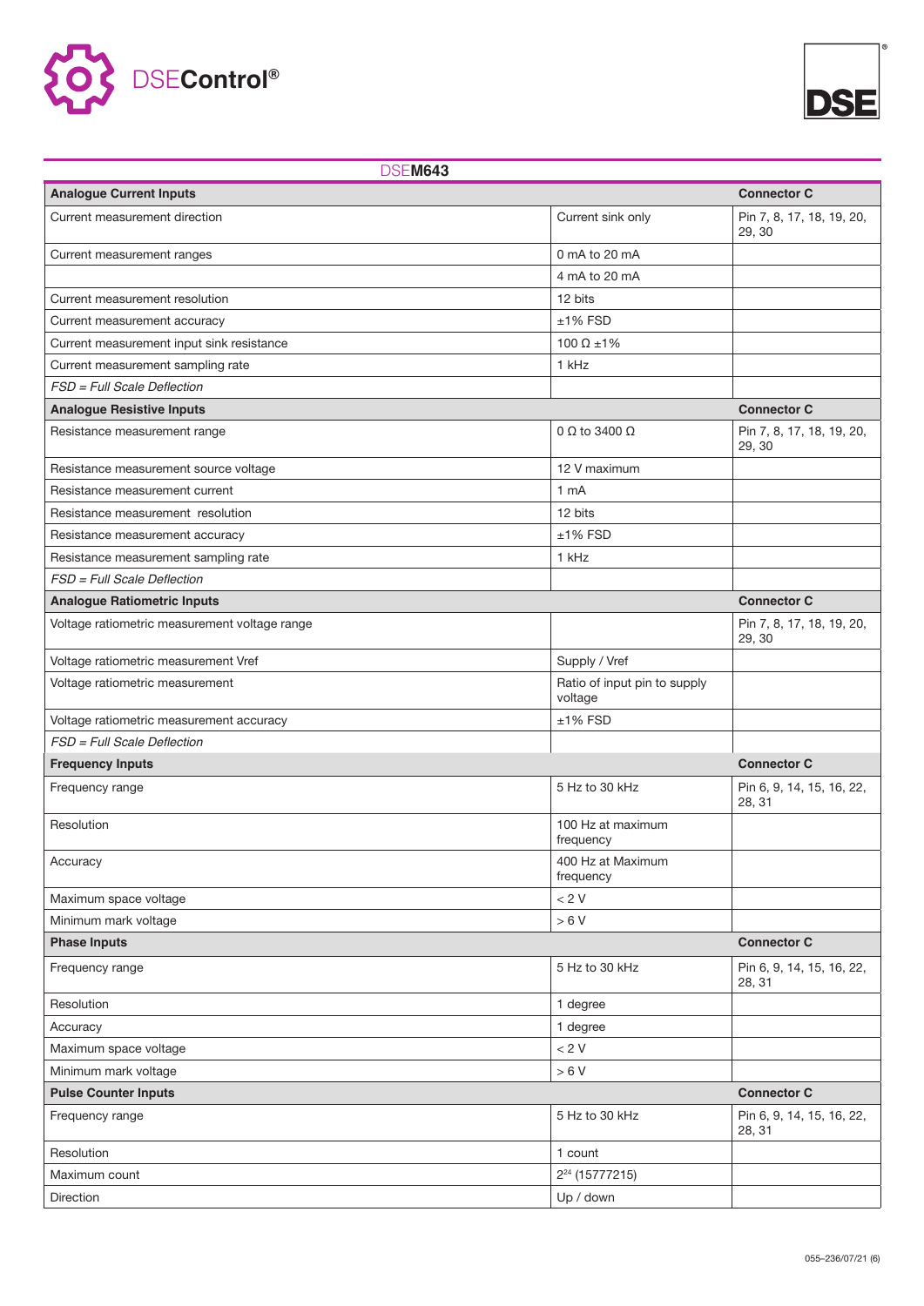



| <b>DSEM643</b>                                |                                         |                                     |  |
|-----------------------------------------------|-----------------------------------------|-------------------------------------|--|
| <b>Analogue Current Inputs</b>                |                                         | <b>Connector C</b>                  |  |
| Current measurement direction                 | Current sink only                       | Pin 7, 8, 17, 18, 19, 20,<br>29, 30 |  |
| Current measurement ranges                    | 0 mA to 20 mA                           |                                     |  |
|                                               | 4 mA to 20 mA                           |                                     |  |
| Current measurement resolution                | 12 bits                                 |                                     |  |
| Current measurement accuracy                  | $±1\%$ FSD                              |                                     |  |
| Current measurement input sink resistance     | 100 $\Omega$ ±1%                        |                                     |  |
| Current measurement sampling rate             | 1 kHz                                   |                                     |  |
| FSD = Full Scale Deflection                   |                                         |                                     |  |
| <b>Analogue Resistive Inputs</b>              |                                         | <b>Connector C</b>                  |  |
| Resistance measurement range                  | $0 \Omega$ to 3400 $\Omega$             | Pin 7, 8, 17, 18, 19, 20,<br>29, 30 |  |
| Resistance measurement source voltage         | 12 V maximum                            |                                     |  |
| Resistance measurement current                | 1 <sub>mA</sub>                         |                                     |  |
| Resistance measurement resolution             | 12 bits                                 |                                     |  |
| Resistance measurement accuracy               | $±1\%$ FSD                              |                                     |  |
| Resistance measurement sampling rate          | 1 kHz                                   |                                     |  |
| FSD = Full Scale Deflection                   |                                         |                                     |  |
| <b>Analogue Ratiometric Inputs</b>            |                                         | <b>Connector C</b>                  |  |
| Voltage ratiometric measurement voltage range |                                         | Pin 7, 8, 17, 18, 19, 20,<br>29, 30 |  |
| Voltage ratiometric measurement Vref          | Supply / Vref                           |                                     |  |
| Voltage ratiometric measurement               | Ratio of input pin to supply<br>voltage |                                     |  |
| Voltage ratiometric measurement accuracy      | $±1\%$ FSD                              |                                     |  |
| FSD = Full Scale Deflection                   |                                         |                                     |  |
| <b>Frequency Inputs</b>                       |                                         | <b>Connector C</b>                  |  |
| Frequency range                               | 5 Hz to 30 kHz                          | Pin 6, 9, 14, 15, 16, 22,<br>28, 31 |  |
| Resolution                                    | 100 Hz at maximum<br>frequency          |                                     |  |
| Accuracy                                      | 400 Hz at Maximum<br>frequency          |                                     |  |
| Maximum space voltage                         | < 2 V                                   |                                     |  |
| Minimum mark voltage                          | > 6 V                                   |                                     |  |
| <b>Phase Inputs</b>                           |                                         | <b>Connector C</b>                  |  |
| Frequency range                               | 5 Hz to 30 kHz                          | Pin 6, 9, 14, 15, 16, 22,<br>28, 31 |  |
| Resolution                                    | 1 degree                                |                                     |  |
| Accuracy                                      | 1 degree                                |                                     |  |
| Maximum space voltage                         | < 2 V                                   |                                     |  |
| Minimum mark voltage                          |                                         |                                     |  |
| <b>Pulse Counter Inputs</b>                   | <b>Connector C</b>                      |                                     |  |
| Frequency range                               | 5 Hz to 30 kHz                          | Pin 6, 9, 14, 15, 16, 22,<br>28, 31 |  |
| Resolution                                    | 1 count                                 |                                     |  |
| Maximum count                                 | 2 <sup>24</sup> (15777215)              |                                     |  |
| Direction                                     | Up / down                               |                                     |  |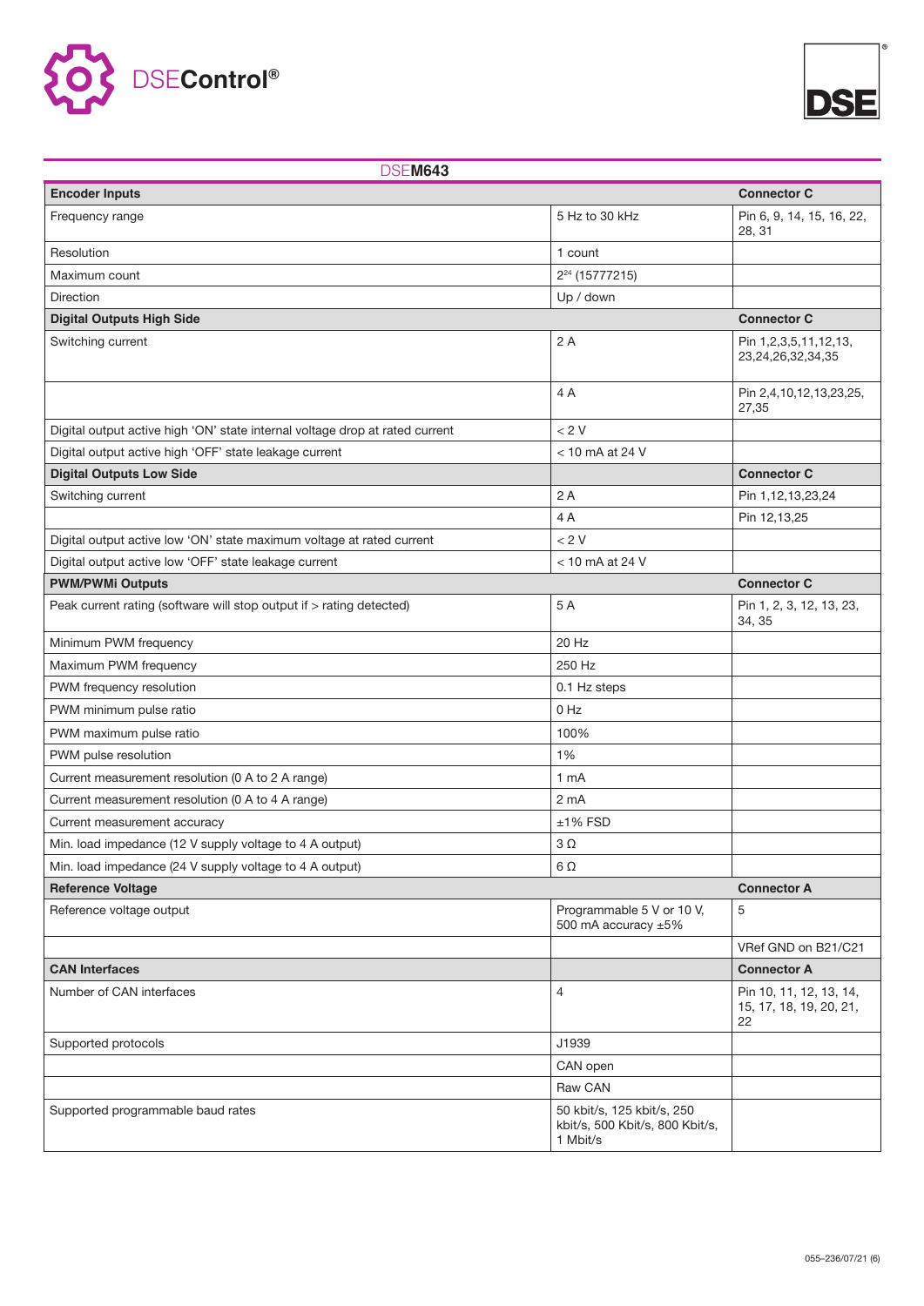



| <b>DSEM643</b>                                                               |                                                                           |                                                          |  |
|------------------------------------------------------------------------------|---------------------------------------------------------------------------|----------------------------------------------------------|--|
| <b>Encoder Inputs</b>                                                        |                                                                           | <b>Connector C</b>                                       |  |
| Frequency range                                                              | 5 Hz to 30 kHz                                                            | Pin 6, 9, 14, 15, 16, 22,<br>28, 31                      |  |
| Resolution                                                                   | 1 count                                                                   |                                                          |  |
| Maximum count                                                                | 2 <sup>24</sup> (15777215)                                                |                                                          |  |
| <b>Direction</b>                                                             | Up / down                                                                 |                                                          |  |
| <b>Digital Outputs High Side</b>                                             |                                                                           | <b>Connector C</b>                                       |  |
| Switching current                                                            | 2A                                                                        | Pin 1,2,3,5,11,12,13,<br>23,24,26,32,34,35               |  |
|                                                                              | 4A                                                                        | Pin 2,4,10,12,13,23,25,<br>27,35                         |  |
| Digital output active high 'ON' state internal voltage drop at rated current | < 2 V                                                                     |                                                          |  |
| Digital output active high 'OFF' state leakage current                       | $<$ 10 mA at 24 V                                                         |                                                          |  |
| <b>Digital Outputs Low Side</b>                                              |                                                                           | <b>Connector C</b>                                       |  |
| Switching current                                                            | 2A                                                                        | Pin 1,12,13,23,24                                        |  |
|                                                                              | 4A                                                                        | Pin 12,13,25                                             |  |
| Digital output active low 'ON' state maximum voltage at rated current        | < 2 V                                                                     |                                                          |  |
| Digital output active low 'OFF' state leakage current                        | $<$ 10 mA at 24 V                                                         |                                                          |  |
| <b>PWM/PWMi Outputs</b>                                                      |                                                                           | <b>Connector C</b>                                       |  |
| Peak current rating (software will stop output if > rating detected)         | 5A                                                                        | Pin 1, 2, 3, 12, 13, 23,<br>34, 35                       |  |
| Minimum PWM frequency                                                        | 20 Hz                                                                     |                                                          |  |
| Maximum PWM frequency                                                        | 250 Hz                                                                    |                                                          |  |
| PWM frequency resolution                                                     | 0.1 Hz steps                                                              |                                                          |  |
| PWM minimum pulse ratio                                                      | $0$ Hz                                                                    |                                                          |  |
| PWM maximum pulse ratio                                                      | 100%                                                                      |                                                          |  |
| PWM pulse resolution                                                         | 1%                                                                        |                                                          |  |
| Current measurement resolution (0 A to 2 A range)                            | 1 <sub>mA</sub>                                                           |                                                          |  |
| Current measurement resolution (0 A to 4 A range)                            | 2 <sub>m</sub> A                                                          |                                                          |  |
| Current measurement accuracy                                                 | $±1\%$ FSD                                                                |                                                          |  |
| Min. load impedance (12 V supply voltage to 4 A output)                      | $3\Omega$                                                                 |                                                          |  |
| Min. load impedance (24 V supply voltage to 4 A output)                      | 6Ω                                                                        |                                                          |  |
| <b>Reference Voltage</b>                                                     | <b>Connector A</b>                                                        |                                                          |  |
| Reference voltage output                                                     | Programmable 5 V or 10 V,<br>500 mA accuracy ±5%                          | 5                                                        |  |
|                                                                              |                                                                           | VRef GND on B21/C21                                      |  |
| <b>CAN Interfaces</b>                                                        |                                                                           | <b>Connector A</b>                                       |  |
| Number of CAN interfaces                                                     | 4                                                                         | Pin 10, 11, 12, 13, 14,<br>15, 17, 18, 19, 20, 21,<br>22 |  |
| Supported protocols                                                          | J1939                                                                     |                                                          |  |
|                                                                              | CAN open                                                                  |                                                          |  |
|                                                                              | Raw CAN                                                                   |                                                          |  |
| Supported programmable baud rates                                            | 50 kbit/s, 125 kbit/s, 250<br>kbit/s, 500 Kbit/s, 800 Kbit/s,<br>1 Mbit/s |                                                          |  |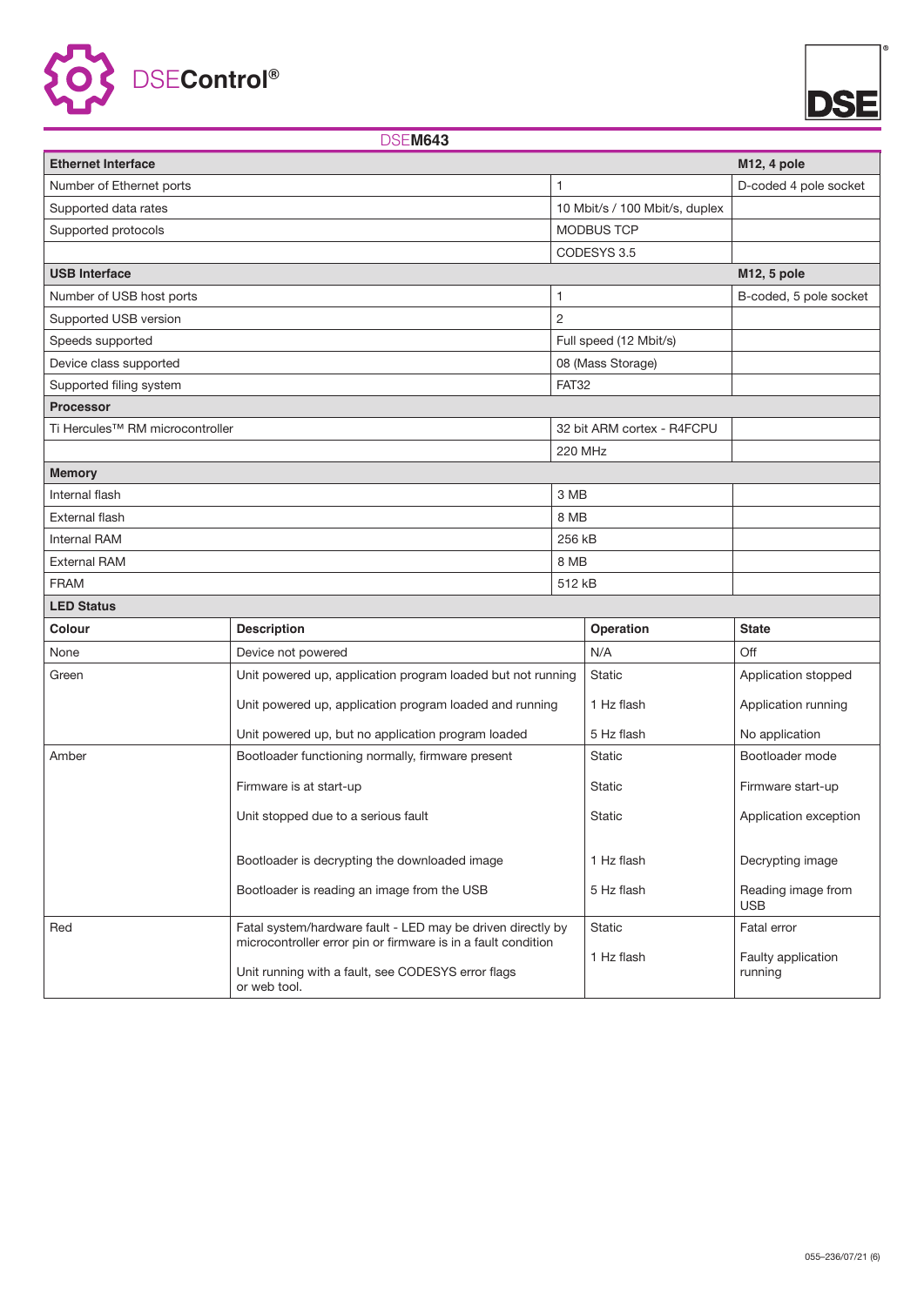



### DSE**M643**

| <b>Ethernet Interface</b>                   |                                                                                                                                     |                |                                | M <sub>12</sub> , 4 pole         |
|---------------------------------------------|-------------------------------------------------------------------------------------------------------------------------------------|----------------|--------------------------------|----------------------------------|
| Number of Ethernet ports                    |                                                                                                                                     |                |                                | D-coded 4 pole socket            |
| Supported data rates                        |                                                                                                                                     |                | 10 Mbit/s / 100 Mbit/s, duplex |                                  |
| Supported protocols                         |                                                                                                                                     |                | MODBUS TCP                     |                                  |
|                                             |                                                                                                                                     |                | CODESYS 3.5                    |                                  |
| <b>USB Interface</b>                        |                                                                                                                                     |                |                                | M12, 5 pole                      |
| Number of USB host ports                    |                                                                                                                                     | 1              |                                | B-coded, 5 pole socket           |
| Supported USB version                       |                                                                                                                                     | $\overline{c}$ |                                |                                  |
| Speeds supported                            |                                                                                                                                     |                | Full speed (12 Mbit/s)         |                                  |
| Device class supported                      |                                                                                                                                     |                | 08 (Mass Storage)              |                                  |
| Supported filing system                     |                                                                                                                                     | <b>FAT32</b>   |                                |                                  |
| <b>Processor</b>                            |                                                                                                                                     |                |                                |                                  |
| Ti Hercules <sup>™</sup> RM microcontroller |                                                                                                                                     |                | 32 bit ARM cortex - R4FCPU     |                                  |
|                                             |                                                                                                                                     | 220 MHz        |                                |                                  |
| <b>Memory</b>                               |                                                                                                                                     |                |                                |                                  |
| Internal flash                              |                                                                                                                                     | 3 MB           |                                |                                  |
| External flash                              |                                                                                                                                     | 8 MB           |                                |                                  |
| <b>Internal RAM</b>                         |                                                                                                                                     | 256 kB         |                                |                                  |
| <b>External RAM</b>                         |                                                                                                                                     | 8 MB           |                                |                                  |
| <b>FRAM</b>                                 |                                                                                                                                     | 512 kB         |                                |                                  |
| <b>LED Status</b>                           |                                                                                                                                     |                |                                |                                  |
| Colour                                      | <b>Description</b>                                                                                                                  |                | Operation                      | <b>State</b>                     |
| None                                        | Device not powered                                                                                                                  |                | N/A                            | Off                              |
| Green                                       | Unit powered up, application program loaded but not running                                                                         |                | <b>Static</b>                  | Application stopped              |
|                                             | Unit powered up, application program loaded and running                                                                             |                | 1 Hz flash                     | Application running              |
|                                             | Unit powered up, but no application program loaded                                                                                  |                | 5 Hz flash                     | No application                   |
| Amber                                       | Bootloader functioning normally, firmware present                                                                                   |                | <b>Static</b>                  | Bootloader mode                  |
|                                             | Firmware is at start-up                                                                                                             |                | Static                         | Firmware start-up                |
|                                             | Unit stopped due to a serious fault                                                                                                 |                | Static                         | Application exception            |
|                                             | Bootloader is decrypting the downloaded image                                                                                       |                | 1 Hz flash                     | Decrypting image                 |
|                                             | Bootloader is reading an image from the USB                                                                                         |                | 5 Hz flash                     | Reading image from<br><b>USB</b> |
| Red                                         | Fatal system/hardware fault - LED may be driven directly by                                                                         |                | <b>Static</b>                  | Fatal error                      |
|                                             | microcontroller error pin or firmware is in a fault condition<br>Unit running with a fault, see CODESYS error flags<br>or web tool. |                | 1 Hz flash                     | Faulty application<br>running    |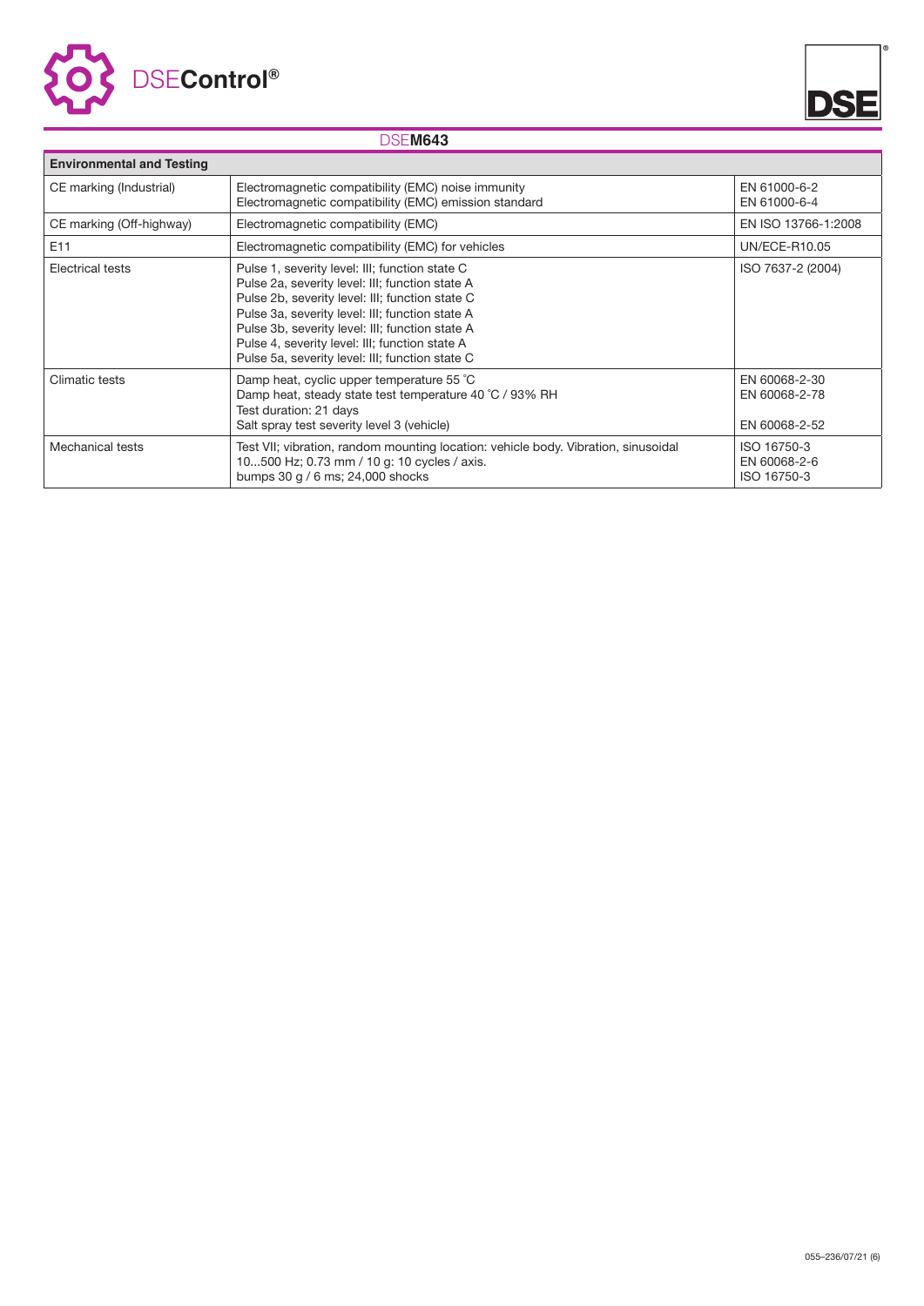



### DSE**M643**

| <b>Environmental and Testing</b>                                                                                                       |                                                                                                                                                                                                                                                                                                                                                                 |                                                 |  |  |
|----------------------------------------------------------------------------------------------------------------------------------------|-----------------------------------------------------------------------------------------------------------------------------------------------------------------------------------------------------------------------------------------------------------------------------------------------------------------------------------------------------------------|-------------------------------------------------|--|--|
| CE marking (Industrial)<br>Electromagnetic compatibility (EMC) noise immunity<br>Electromagnetic compatibility (EMC) emission standard |                                                                                                                                                                                                                                                                                                                                                                 | EN 61000-6-2<br>EN 61000-6-4                    |  |  |
| CE marking (Off-highway)<br>Electromagnetic compatibility (EMC)                                                                        |                                                                                                                                                                                                                                                                                                                                                                 | EN ISO 13766-1:2008                             |  |  |
| E11                                                                                                                                    | Electromagnetic compatibility (EMC) for vehicles                                                                                                                                                                                                                                                                                                                | UN/ECE-R10.05                                   |  |  |
| <b>Electrical tests</b>                                                                                                                | Pulse 1, severity level: III; function state C<br>Pulse 2a, severity level: III; function state A<br>Pulse 2b, severity level: III; function state C<br>Pulse 3a, severity level: III; function state A<br>Pulse 3b, severity level: III; function state A<br>Pulse 4, severity level: III; function state A<br>Pulse 5a, severity level: III; function state C | ISO 7637-2 (2004)                               |  |  |
| Climatic tests                                                                                                                         | Damp heat, cyclic upper temperature 55 °C<br>Damp heat, steady state test temperature 40 °C / 93% RH<br>Test duration: 21 days<br>Salt spray test severity level 3 (vehicle)                                                                                                                                                                                    | EN 60068-2-30<br>EN 60068-2-78<br>EN 60068-2-52 |  |  |
| Mechanical tests                                                                                                                       | Test VII; vibration, random mounting location: vehicle body. Vibration, sinusoidal<br>10500 Hz; 0.73 mm / 10 g: 10 cycles / axis.<br>bumps 30 g / 6 ms; 24,000 shocks                                                                                                                                                                                           | ISO 16750-3<br>EN 60068-2-6<br>ISO 16750-3      |  |  |